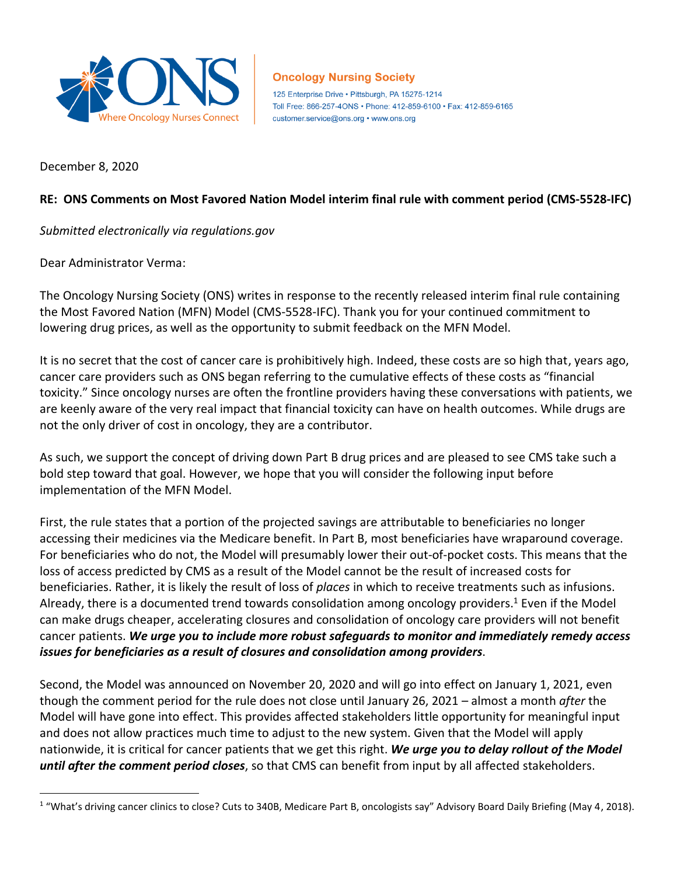

## **Oncology Nursing Society**

125 Enterprise Drive . Pittsburgh, PA 15275-1214 Toll Free: 866-257-4ONS • Phone: 412-859-6100 • Fax: 412-859-6165 customer.service@ons.org • www.ons.org

December 8, 2020

 $\overline{a}$ 

## **RE: ONS Comments on Most Favored Nation Model interim final rule with comment period (CMS-5528-IFC)**

*Submitted electronically via regulations.gov*

Dear Administrator Verma:

The Oncology Nursing Society (ONS) writes in response to the recently released interim final rule containing the Most Favored Nation (MFN) Model (CMS-5528-IFC). Thank you for your continued commitment to lowering drug prices, as well as the opportunity to submit feedback on the MFN Model.

It is no secret that the cost of cancer care is prohibitively high. Indeed, these costs are so high that, years ago, cancer care providers such as ONS began referring to the cumulative effects of these costs as "financial toxicity." Since oncology nurses are often the frontline providers having these conversations with patients, we are keenly aware of the very real impact that financial toxicity can have on health outcomes. While drugs are not the only driver of cost in oncology, they are a contributor.

As such, we support the concept of driving down Part B drug prices and are pleased to see CMS take such a bold step toward that goal. However, we hope that you will consider the following input before implementation of the MFN Model.

First, the rule states that a portion of the projected savings are attributable to beneficiaries no longer accessing their medicines via the Medicare benefit. In Part B, most beneficiaries have wraparound coverage. For beneficiaries who do not, the Model will presumably lower their out-of-pocket costs. This means that the loss of access predicted by CMS as a result of the Model cannot be the result of increased costs for beneficiaries. Rather, it is likely the result of loss of *places* in which to receive treatments such as infusions. Already, there is a documented trend towards consolidation among oncology providers.<sup>1</sup> Even if the Model can make drugs cheaper, accelerating closures and consolidation of oncology care providers will not benefit cancer patients. *We urge you to include more robust safeguards to monitor and immediately remedy access issues for beneficiaries as a result of closures and consolidation among providers*.

Second, the Model was announced on November 20, 2020 and will go into effect on January 1, 2021, even though the comment period for the rule does not close until January 26, 2021 – almost a month *after* the Model will have gone into effect. This provides affected stakeholders little opportunity for meaningful input and does not allow practices much time to adjust to the new system. Given that the Model will apply nationwide, it is critical for cancer patients that we get this right. *We urge you to delay rollout of the Model until after the comment period closes*, so that CMS can benefit from input by all affected stakeholders.

<sup>&</sup>lt;sup>1</sup> "What's driving cancer clinics to close? Cuts to 340B, Medicare Part B, oncologists say" Advisory Board Daily Briefing (May 4, 2018).